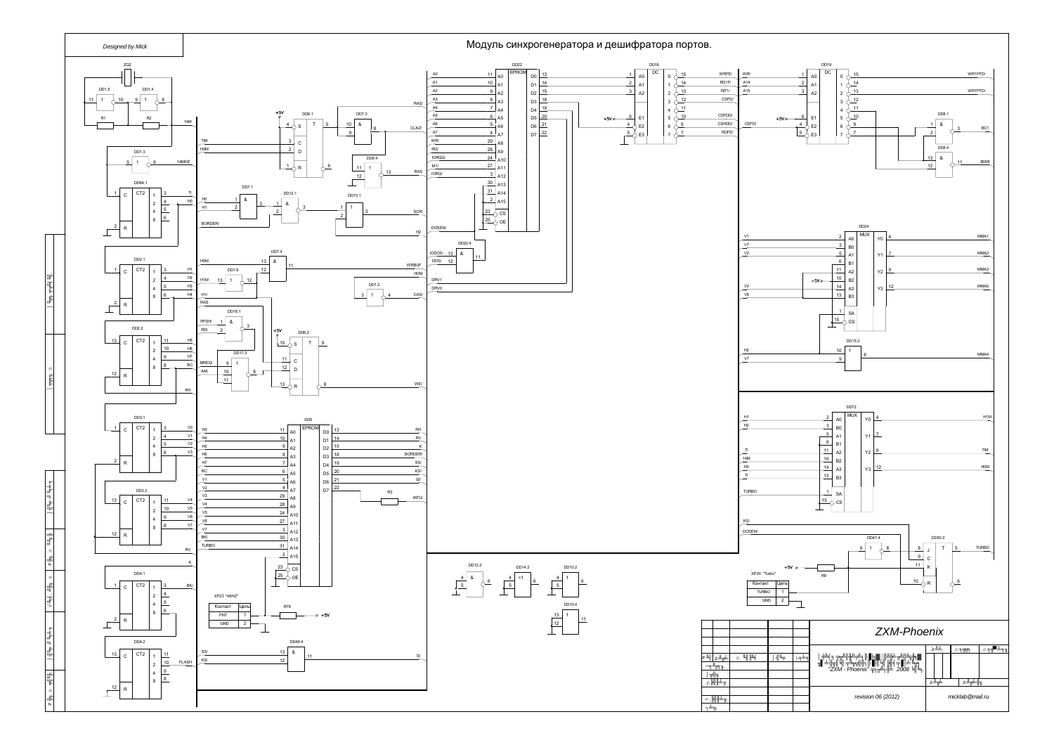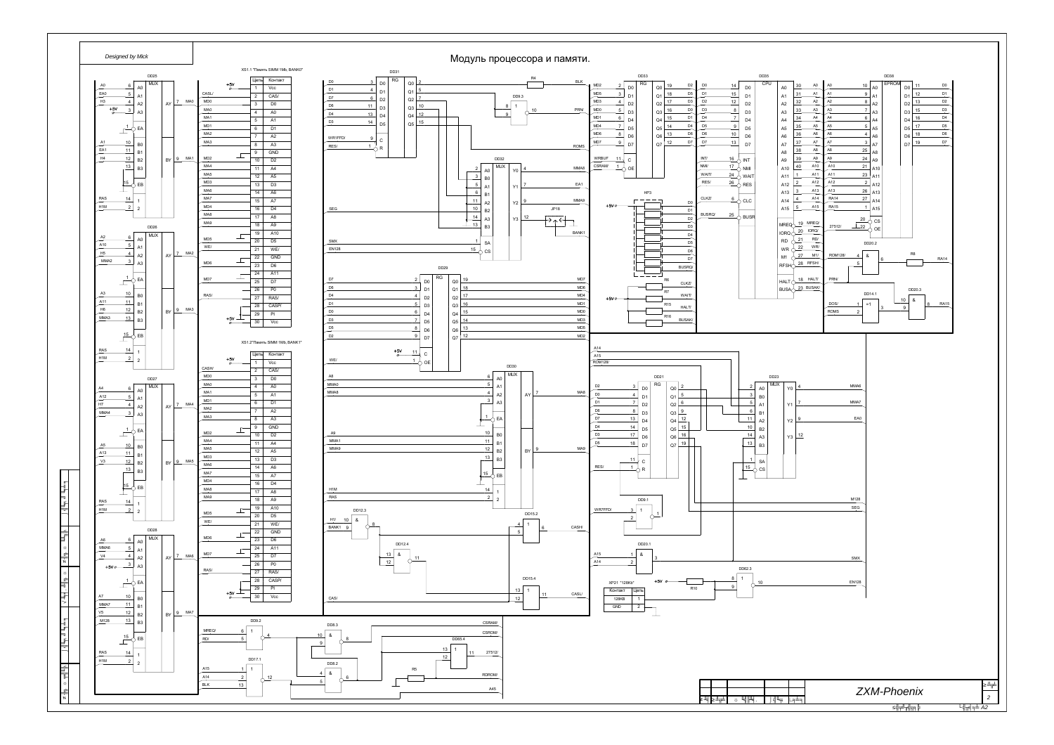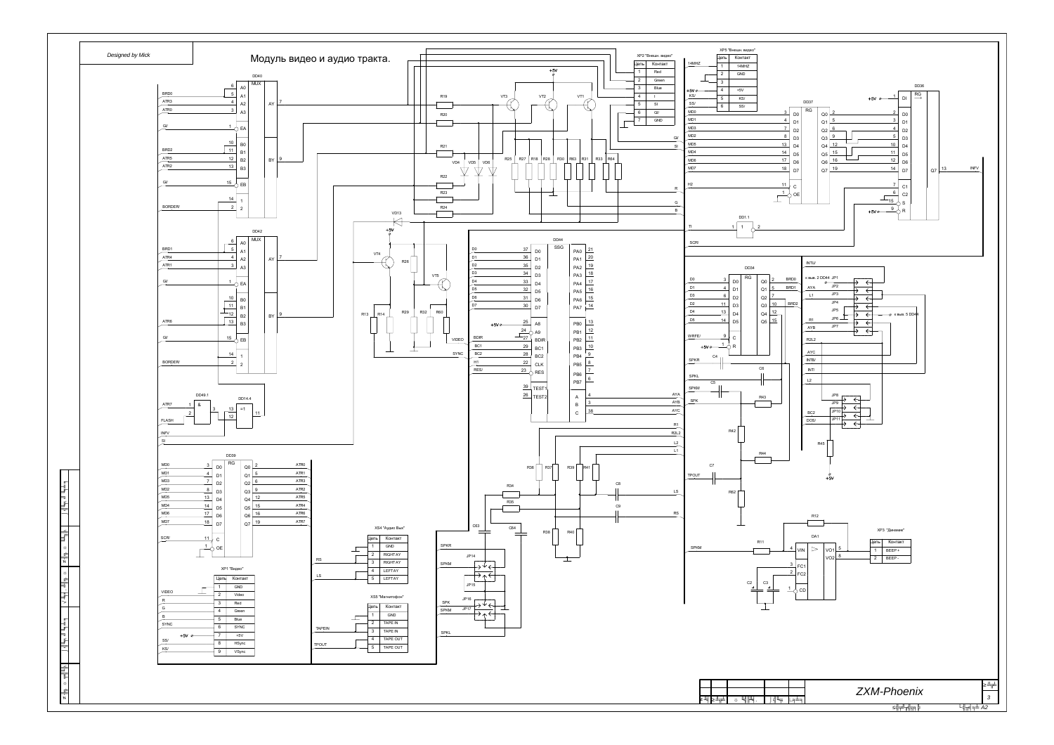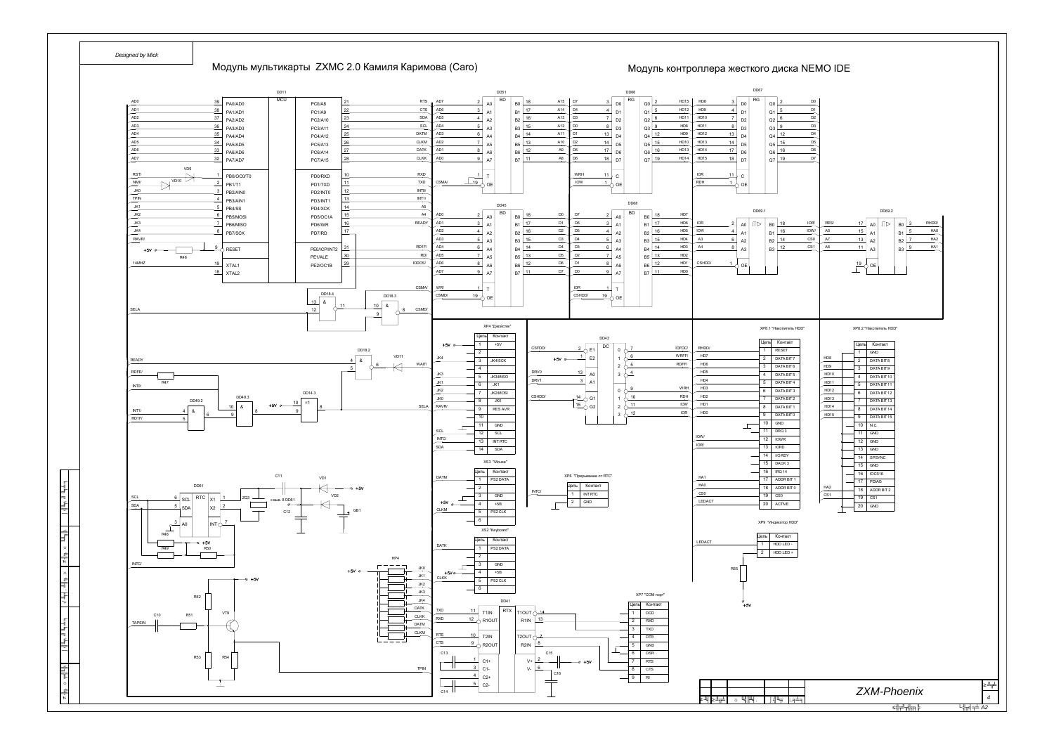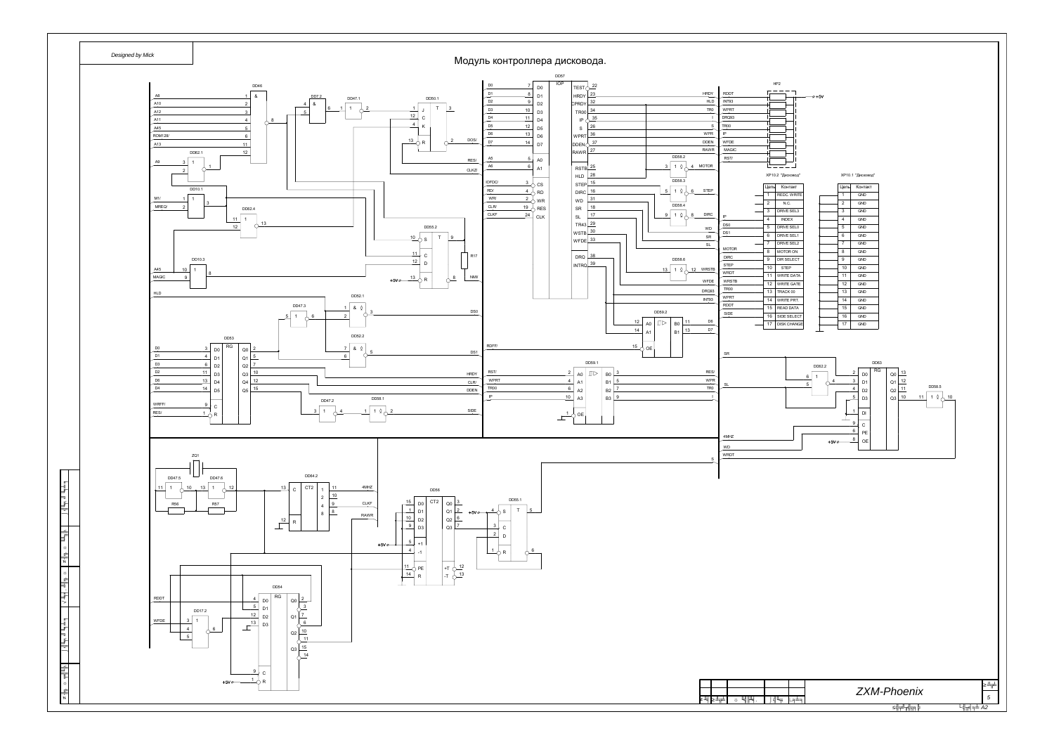